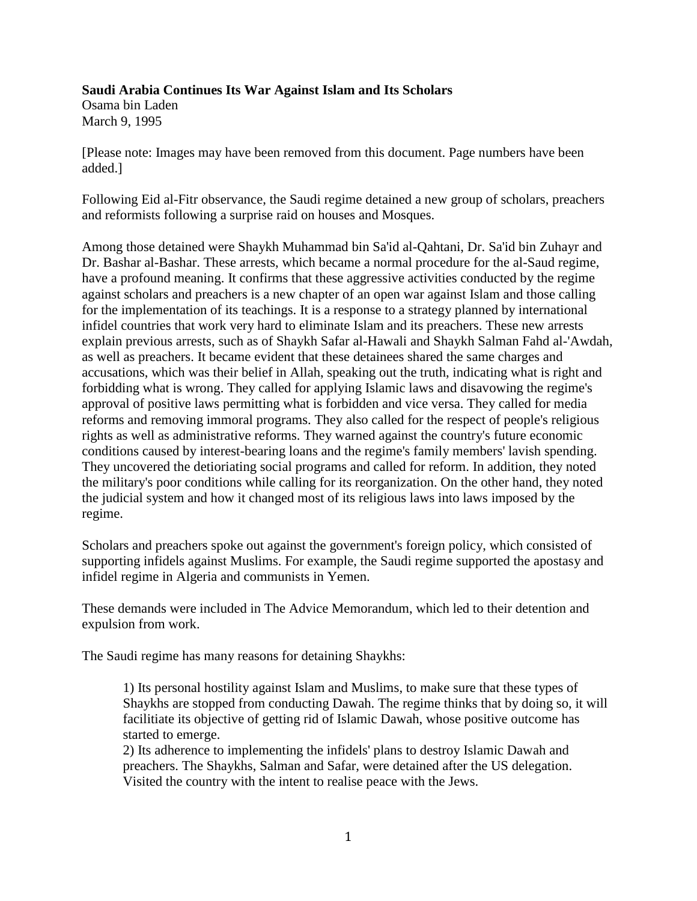## **Saudi Arabia Continues Its War Against Islam and Its Scholars**

Osama bin Laden March 9, 1995

[Please note: Images may have been removed from this document. Page numbers have been added.]

Following Eid al-Fitr observance, the Saudi regime detained a new group of scholars, preachers and reformists following a surprise raid on houses and Mosques.

Among those detained were Shaykh Muhammad bin Sa'id al-Qahtani, Dr. Sa'id bin Zuhayr and Dr. Bashar al-Bashar. These arrests, which became a normal procedure for the al-Saud regime, have a profound meaning. It confirms that these aggressive activities conducted by the regime against scholars and preachers is a new chapter of an open war against Islam and those calling for the implementation of its teachings. It is a response to a strategy planned by international infidel countries that work very hard to eliminate Islam and its preachers. These new arrests explain previous arrests, such as of Shaykh Safar al-Hawali and Shaykh Salman Fahd al-'Awdah, as well as preachers. It became evident that these detainees shared the same charges and accusations, which was their belief in Allah, speaking out the truth, indicating what is right and forbidding what is wrong. They called for applying Islamic laws and disavowing the regime's approval of positive laws permitting what is forbidden and vice versa. They called for media reforms and removing immoral programs. They also called for the respect of people's religious rights as well as administrative reforms. They warned against the country's future economic conditions caused by [interest-bearing loans](http://en.wikipedia.org/wiki/usury) and the regime's family members' lavish spending. They uncovered the detioriating social programs and called for reform. In addition, they noted the military's poor conditions while calling for its reorganization. On the other hand, they noted the judicial system and how it changed most of its religious laws into laws imposed by the regime.

Scholars and preachers spoke out against the government's foreign policy, which consisted of supporting infidels against Muslims. For example, the Saudi regime supported the apostasy and infidel regime in Algeria and communists in Yemen.

These demands were included in The Advice Memorandum, which led to their detention and expulsion from work.

The Saudi regime has many reasons for detaining Shaykhs:

1) Its personal hostility against Islam and Muslims, to make sure that these types of Shaykhs are stopped from conducting Dawah. The regime thinks that by doing so, it will facilitiate its objective of getting rid of Islamic Dawah, whose positive outcome has started to emerge.

2) Its adherence to implementing the infidels' plans to destroy Islamic Dawah and preachers. The Shaykhs, Salman and Safar, were detained after the US delegation. Visited the country with the intent to realise peace with the Jews.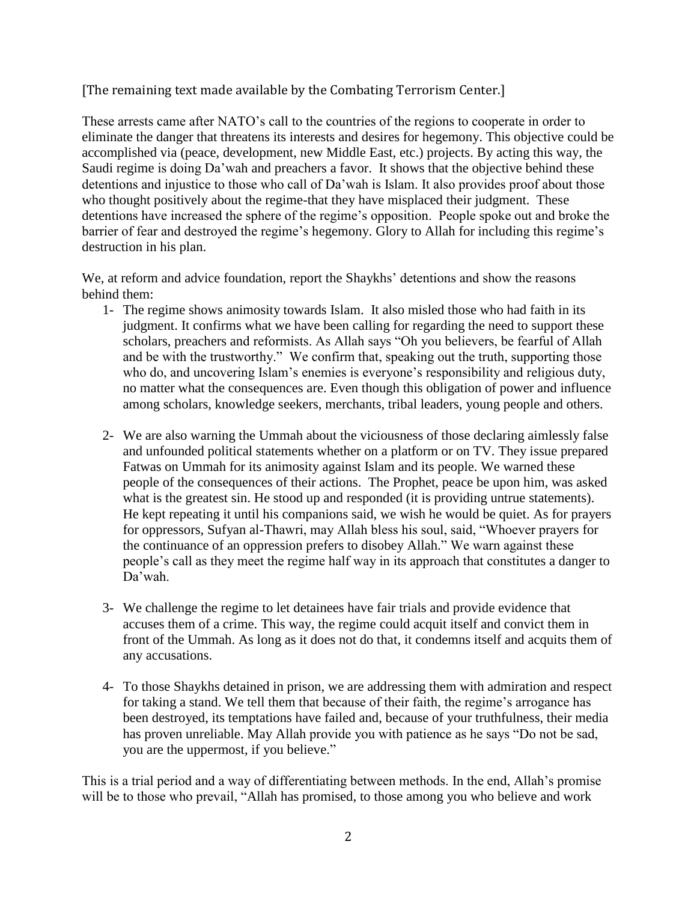## [The remaining text made available by the Combating Terrorism Center.]

These arrests came after NATO's call to the countries of the regions to cooperate in order to eliminate the danger that threatens its interests and desires for hegemony. This objective could be accomplished via (peace, development, new Middle East, etc.) projects. By acting this way, the Saudi regime is doing Da'wah and preachers a favor. It shows that the objective behind these detentions and injustice to those who call of Da'wah is Islam. It also provides proof about those who thought positively about the regime-that they have misplaced their judgment. These detentions have increased the sphere of the regime's opposition. People spoke out and broke the barrier of fear and destroyed the regime's hegemony. Glory to Allah for including this regime's destruction in his plan.

We, at reform and advice foundation, report the Shaykhs' detentions and show the reasons behind them:

- 1- The regime shows animosity towards Islam. It also misled those who had faith in its judgment. It confirms what we have been calling for regarding the need to support these scholars, preachers and reformists. As Allah says "Oh you believers, be fearful of Allah and be with the trustworthy." We confirm that, speaking out the truth, supporting those who do, and uncovering Islam's enemies is everyone's responsibility and religious duty, no matter what the consequences are. Even though this obligation of power and influence among scholars, knowledge seekers, merchants, tribal leaders, young people and others.
- 2- We are also warning the Ummah about the viciousness of those declaring aimlessly false and unfounded political statements whether on a platform or on TV. They issue prepared Fatwas on Ummah for its animosity against Islam and its people. We warned these people of the consequences of their actions. The Prophet, peace be upon him, was asked what is the greatest sin. He stood up and responded (it is providing untrue statements). He kept repeating it until his companions said, we wish he would be quiet. As for prayers for oppressors, Sufyan al-Thawri, may Allah bless his soul, said, "Whoever prayers for the continuance of an oppression prefers to disobey Allah." We warn against these people's call as they meet the regime half way in its approach that constitutes a danger to Da'wah.
- 3- We challenge the regime to let detainees have fair trials and provide evidence that accuses them of a crime. This way, the regime could acquit itself and convict them in front of the Ummah. As long as it does not do that, it condemns itself and acquits them of any accusations.
- 4- To those Shaykhs detained in prison, we are addressing them with admiration and respect for taking a stand. We tell them that because of their faith, the regime's arrogance has been destroyed, its temptations have failed and, because of your truthfulness, their media has proven unreliable. May Allah provide you with patience as he says "Do not be sad, you are the uppermost, if you believe."

This is a trial period and a way of differentiating between methods. In the end, Allah's promise will be to those who prevail, "Allah has promised, to those among you who believe and work